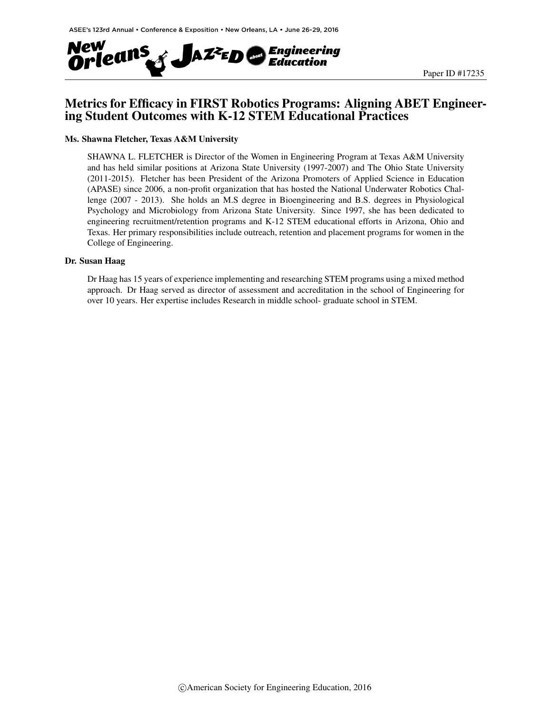

## Metrics for Efficacy in FIRST Robotics Programs: Aligning ABET Engineering Student Outcomes with K-12 STEM Educational Practices

#### Ms. Shawna Fletcher, Texas A&M University

SHAWNA L. FLETCHER is Director of the Women in Engineering Program at Texas A&M University and has held similar positions at Arizona State University (1997-2007) and The Ohio State University (2011-2015). Fletcher has been President of the Arizona Promoters of Applied Science in Education (APASE) since 2006, a non-profit organization that has hosted the National Underwater Robotics Challenge (2007 - 2013). She holds an M.S degree in Bioengineering and B.S. degrees in Physiological Psychology and Microbiology from Arizona State University. Since 1997, she has been dedicated to engineering recruitment/retention programs and K-12 STEM educational efforts in Arizona, Ohio and Texas. Her primary responsibilities include outreach, retention and placement programs for women in the College of Engineering.

#### Dr. Susan Haag

Dr Haag has 15 years of experience implementing and researching STEM programs using a mixed method approach. Dr Haag served as director of assessment and accreditation in the school of Engineering for over 10 years. Her expertise includes Research in middle school- graduate school in STEM.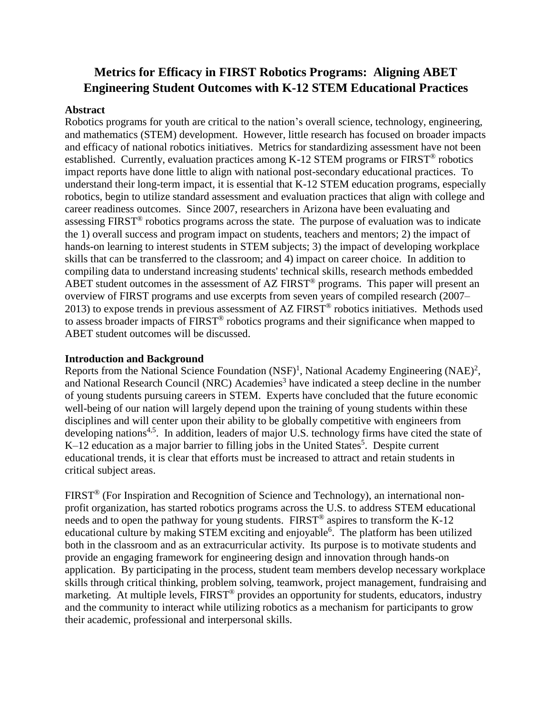# **Metrics for Efficacy in FIRST Robotics Programs: Aligning ABET Engineering Student Outcomes with K-12 STEM Educational Practices**

#### **Abstract**

Robotics programs for youth are critical to the nation's overall science, technology, engineering, and mathematics (STEM) development. However, little research has focused on broader impacts and efficacy of national robotics initiatives. Metrics for standardizing assessment have not been established. Currently, evaluation practices among K-12 STEM programs or FIRST® robotics impact reports have done little to align with national post-secondary educational practices. To understand their long-term impact, it is essential that K-12 STEM education programs, especially robotics, begin to utilize standard assessment and evaluation practices that align with college and career readiness outcomes. Since 2007, researchers in Arizona have been evaluating and assessing FIRST® robotics programs across the state. The purpose of evaluation was to indicate the 1) overall success and program impact on students, teachers and mentors; 2) the impact of hands-on learning to interest students in STEM subjects; 3) the impact of developing workplace skills that can be transferred to the classroom; and 4) impact on career choice. In addition to compiling data to understand increasing students' technical skills, research methods embedded ABET student outcomes in the assessment of AZ FIRST<sup>®</sup> programs. This paper will present an overview of FIRST programs and use excerpts from seven years of compiled research (2007– 2013) to expose trends in previous assessment of AZ FIRST® robotics initiatives. Methods used to assess broader impacts of FIRST® robotics programs and their significance when mapped to ABET student outcomes will be discussed.

#### **Introduction and Background**

Reports from the National Science Foundation  $(NSF)^1$ , National Academy Engineering  $(NAF)^2$ , and National Research Council (NRC) Academies<sup>3</sup> have indicated a steep decline in the number of young students pursuing careers in STEM. Experts have concluded that the future economic well-being of our nation will largely depend upon the training of young students within these disciplines and will center upon their ability to be globally competitive with engineers from developing nations<sup>4,5</sup>. In addition, leaders of major U.S. technology firms have cited the state of  $K-12$  education as a major barrier to filling jobs in the United States<sup>5</sup>. Despite current educational trends, it is clear that efforts must be increased to attract and retain students in critical subject areas.

FIRST® (For Inspiration and Recognition of Science and Technology), an international nonprofit organization, has started robotics programs across the U.S. to address STEM educational needs and to open the pathway for young students. FIRST<sup>®</sup> aspires to transform the K-12 educational culture by making STEM exciting and enjoyable<sup>6</sup>. The platform has been utilized both in the classroom and as an extracurricular activity. Its purpose is to motivate students and provide an engaging framework for engineering design and innovation through hands-on application. By participating in the process, student team members develop necessary workplace skills through critical thinking, problem solving, teamwork, project management, fundraising and marketing. At multiple levels, FIRST<sup>®</sup> provides an opportunity for students, educators, industry and the community to interact while utilizing robotics as a mechanism for participants to grow their academic, professional and interpersonal skills.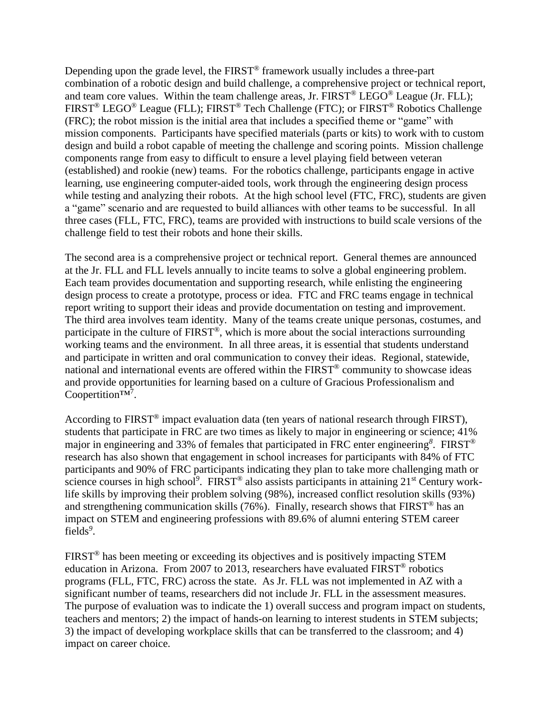Depending upon the grade level, the FIRST<sup>®</sup> framework usually includes a three-part combination of a robotic design and build challenge, a comprehensive project or technical report, and team core values. Within the team challenge areas, Jr.  $\widehat{FIRST}^{\circledast} \widehat{Lego^{\circledast}}$  League (Jr. FLL); FIRST® LEGO® League (FLL); FIRST® Tech Challenge (FTC); or FIRST® Robotics Challenge (FRC); the robot mission is the initial area that includes a specified theme or "game" with mission components. Participants have specified materials (parts or kits) to work with to custom design and build a robot capable of meeting the challenge and scoring points. Mission challenge components range from easy to difficult to ensure a level playing field between veteran (established) and rookie (new) teams. For the robotics challenge, participants engage in active learning, use engineering computer-aided tools, work through the engineering design process while testing and analyzing their robots. At the high school level (FTC, FRC), students are given a "game" scenario and are requested to build alliances with other teams to be successful. In all three cases (FLL, FTC, FRC), teams are provided with instructions to build scale versions of the challenge field to test their robots and hone their skills.

The second area is a comprehensive project or technical report. General themes are announced at the Jr. FLL and FLL levels annually to incite teams to solve a global engineering problem. Each team provides documentation and supporting research, while enlisting the engineering design process to create a prototype, process or idea. FTC and FRC teams engage in technical report writing to support their ideas and provide documentation on testing and improvement. The third area involves team identity. Many of the teams create unique personas, costumes, and participate in the culture of FIRST®, which is more about the social interactions surrounding working teams and the environment. In all three areas, it is essential that students understand and participate in written and oral communication to convey their ideas. Regional, statewide, national and international events are offered within the FIRST® community to showcase ideas and provide opportunities for learning based on a culture of Gracious Professionalism and Coopertition<sup>™7</sup>.

According to FIRST<sup>®</sup> impact evaluation data (ten years of national research through FIRST), students that participate in FRC are two times as likely to major in engineering or science; 41% major in engineering and 33% of females that participated in FRC enter engineering*<sup>8</sup>* . FIRST® research has also shown that engagement in school increases for participants with 84% of FTC participants and 90% of FRC participants indicating they plan to take more challenging math or science courses in high school<sup>9</sup>. FIRST<sup>®</sup> also assists participants in attaining 21<sup>st</sup> Century worklife skills by improving their problem solving (98%), increased conflict resolution skills (93%) and strengthening communication skills (76%). Finally, research shows that FIRST® has an impact on STEM and engineering professions with 89.6% of alumni entering STEM career fields*<sup>9</sup>* .

FIRST® has been meeting or exceeding its objectives and is positively impacting STEM education in Arizona. From 2007 to 2013, researchers have evaluated FIRST® robotics programs (FLL, FTC, FRC) across the state. As Jr. FLL was not implemented in AZ with a significant number of teams, researchers did not include Jr. FLL in the assessment measures. The purpose of evaluation was to indicate the 1) overall success and program impact on students, teachers and mentors; 2) the impact of hands-on learning to interest students in STEM subjects; 3) the impact of developing workplace skills that can be transferred to the classroom; and 4) impact on career choice.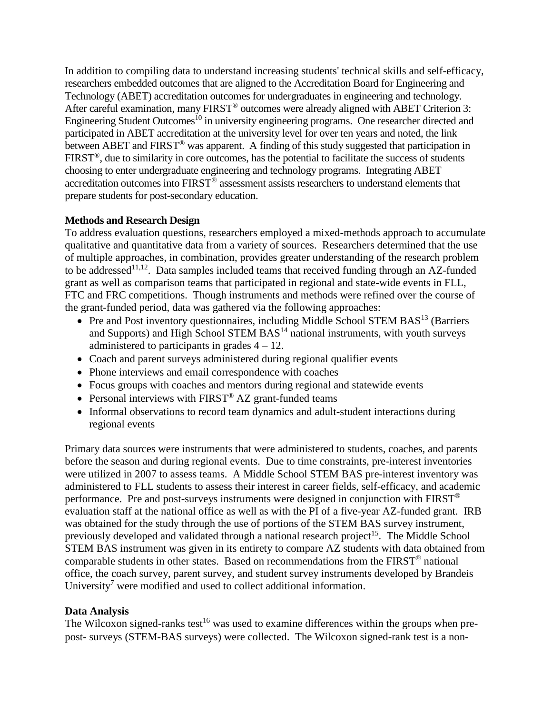In addition to compiling data to understand increasing students' technical skills and self-efficacy, researchers embedded outcomes that are aligned to the Accreditation Board for Engineering and Technology (ABET) accreditation outcomes for undergraduates in engineering and technology. After careful examination, many FIRST<sup>®</sup> outcomes were already aligned with ABET Criterion 3: Engineering Student Outcomes<sup>10</sup> in university engineering programs. One researcher directed and participated in ABET accreditation at the university level for over ten years and noted, the link between ABET and FIRST<sup>®</sup> was apparent. A finding of this study suggested that participation in FIRST®, due to similarity in core outcomes, has the potential to facilitate the success of students choosing to enter undergraduate engineering and technology programs. Integrating ABET accreditation outcomes into FIRST® assessment assists researchers to understand elements that prepare students for post-secondary education.

### **Methods and Research Design**

To address evaluation questions, researchers employed a mixed-methods approach to accumulate qualitative and quantitative data from a variety of sources. Researchers determined that the use of multiple approaches, in combination, provides greater understanding of the research problem to be addressed<sup>11,12</sup>. Data samples included teams that received funding through an AZ-funded grant as well as comparison teams that participated in regional and state-wide events in FLL, FTC and FRC competitions. Though instruments and methods were refined over the course of the grant-funded period, data was gathered via the following approaches:

- Pre and Post inventory questionnaires, including Middle School STEM BAS<sup>13</sup> (Barriers and Supports) and High School STEM  $BAS<sup>14</sup>$  national instruments, with youth surveys administered to participants in grades  $4 - 12$ .
- Coach and parent surveys administered during regional qualifier events
- Phone interviews and email correspondence with coaches
- Focus groups with coaches and mentors during regional and statewide events
- Personal interviews with  $FIRST^{\circledast} AZ$  grant-funded teams
- Informal observations to record team dynamics and adult-student interactions during regional events

Primary data sources were instruments that were administered to students, coaches, and parents before the season and during regional events. Due to time constraints, pre-interest inventories were utilized in 2007 to assess teams. A Middle School STEM BAS pre-interest inventory was administered to FLL students to assess their interest in career fields, self-efficacy, and academic performance. Pre and post-surveys instruments were designed in conjunction with FIRST® evaluation staff at the national office as well as with the PI of a five-year AZ-funded grant. IRB was obtained for the study through the use of portions of the STEM BAS survey instrument, previously developed and validated through a national research project<sup>15</sup>. The Middle School STEM BAS instrument was given in its entirety to compare AZ students with data obtained from comparable students in other states. Based on recommendations from the FIRST® national office, the coach survey, parent survey, and student survey instruments developed by Brandeis University<sup>7</sup> were modified and used to collect additional information.

### **Data Analysis**

The Wilcoxon signed-ranks test<sup>16</sup> was used to examine differences within the groups when prepost- surveys (STEM-BAS surveys) were collected. The Wilcoxon signed-rank test is a non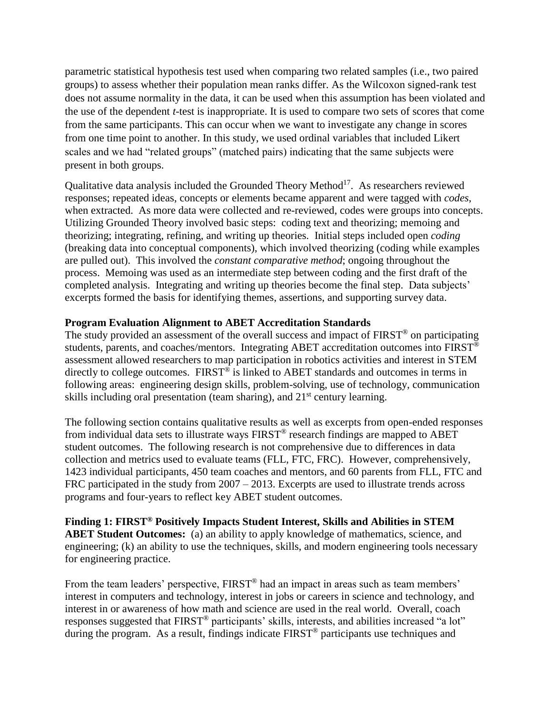parametric statistical hypothesis test used when comparing two related samples (i.e., two paired groups) to assess whether their population mean ranks differ. As the Wilcoxon signed-rank test does not assume normality in the data, it can be used when this assumption has been violated and the use of the dependent *t-*test is inappropriate. It is used to compare two sets of scores that come from the same participants. This can occur when we want to investigate any change in scores from one time point to another. In this study, we used ordinal variables that included Likert scales and we had "related groups" (matched pairs) indicating that the same subjects were present in both groups.

Qualitative data analysis included the Grounded Theory Method<sup>17</sup>. As researchers reviewed responses; repeated ideas, concepts or elements became apparent and were tagged with *codes*, when extracted. As more data were collected and re-reviewed, codes were groups into concepts. Utilizing Grounded Theory involved basic steps: coding text and theorizing; memoing and theorizing; integrating, refining, and writing up theories. Initial steps included open *coding* (breaking data into conceptual components), which involved theorizing (coding while examples are pulled out). This involved the *constant comparative method*; ongoing throughout the process. Memoing was used as an intermediate step between coding and the first draft of the completed analysis. Integrating and writing up theories become the final step. Data subjects' excerpts formed the basis for identifying themes, assertions, and supporting survey data.

#### **Program Evaluation Alignment to ABET Accreditation Standards**

The study provided an assessment of the overall success and impact of FIRST<sup>®</sup> on participating students, parents, and coaches/mentors. Integrating ABET accreditation outcomes into FIRST<sup>®</sup> assessment allowed researchers to map participation in robotics activities and interest in STEM directly to college outcomes. FIRST<sup>®</sup> is linked to ABET standards and outcomes in terms in following areas: engineering design skills, problem-solving, use of technology, communication skills including oral presentation (team sharing), and  $21<sup>st</sup>$  century learning.

The following section contains qualitative results as well as excerpts from open-ended responses from individual data sets to illustrate ways FIRST® research findings are mapped to ABET student outcomes. The following research is not comprehensive due to differences in data collection and metrics used to evaluate teams (FLL, FTC, FRC). However, comprehensively, 1423 individual participants, 450 team coaches and mentors, and 60 parents from FLL, FTC and FRC participated in the study from 2007 – 2013. Excerpts are used to illustrate trends across programs and four-years to reflect key ABET student outcomes.

**Finding 1: FIRST® Positively Impacts Student Interest, Skills and Abilities in STEM ABET Student Outcomes:** (a) an ability to apply knowledge of mathematics, science, and engineering; (k) an ability to use the techniques, skills, and modern engineering tools necessary for engineering practice.

From the team leaders' perspective, FIRST<sup>®</sup> had an impact in areas such as team members' interest in computers and technology, interest in jobs or careers in science and technology, and interest in or awareness of how math and science are used in the real world. Overall, coach responses suggested that FIRST<sup>®</sup> participants' skills, interests, and abilities increased "a lot" during the program. As a result, findings indicate FIRST<sup>®</sup> participants use techniques and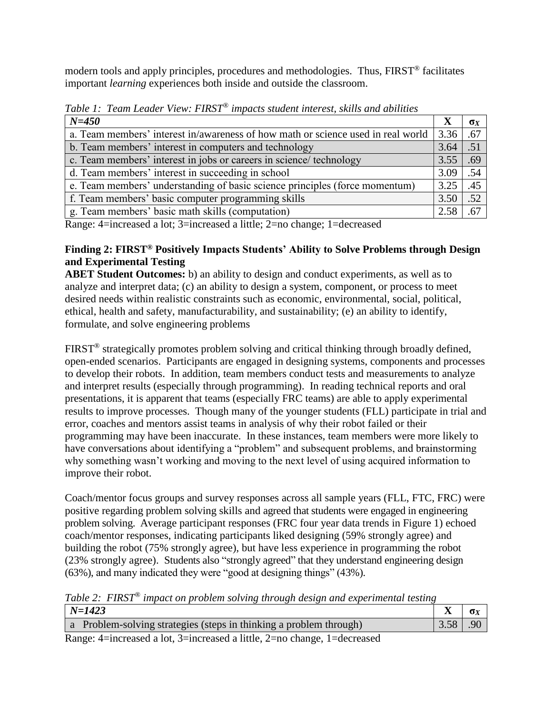modern tools and apply principles, procedures and methodologies. Thus, FIRST® facilitates important *learning* experiences both inside and outside the classroom.

| $N = 450$                                                                        | X    | $\sigma_X$       |
|----------------------------------------------------------------------------------|------|------------------|
| a. Team members' interest in/awareness of how math or science used in real world | 3.36 | .67              |
| b. Team members' interest in computers and technology                            | 3.64 | $\overline{.51}$ |
| c. Team members' interest in jobs or careers in science/ technology              | 3.55 | .69              |
| d. Team members' interest in succeeding in school                                | 3.09 | .54              |
| e. Team members' understanding of basic science principles (force momentum)      | 3.25 | .45              |
| f. Team members' basic computer programming skills                               | 3.50 | .52              |
| g. Team members' basic math skills (computation)                                 | 2.58 | .67              |

*Table 1: Team Leader View: FIRST® impacts student interest, skills and abilities*

Range: 4=increased a lot; 3=increased a little; 2=no change; 1=decreased

## **Finding 2: FIRST® Positively Impacts Students' Ability to Solve Problems through Design and Experimental Testing**

**ABET Student Outcomes:** b) an ability to design and conduct experiments, as well as to analyze and interpret data; (c) an ability to design a system, component, or process to meet desired needs within realistic constraints such as economic, environmental, social, political, ethical, health and safety, manufacturability, and sustainability; (e) an ability to identify, formulate, and solve engineering problems

FIRST<sup>®</sup> strategically promotes problem solving and critical thinking through broadly defined, open-ended scenarios. Participants are engaged in designing systems, components and processes to develop their robots. In addition, team members conduct tests and measurements to analyze and interpret results (especially through programming). In reading technical reports and oral presentations, it is apparent that teams (especially FRC teams) are able to apply experimental results to improve processes. Though many of the younger students (FLL) participate in trial and error, coaches and mentors assist teams in analysis of why their robot failed or their programming may have been inaccurate. In these instances, team members were more likely to have conversations about identifying a "problem" and subsequent problems, and brainstorming why something wasn't working and moving to the next level of using acquired information to improve their robot.

Coach/mentor focus groups and survey responses across all sample years (FLL, FTC, FRC) were positive regarding problem solving skills and agreed that students were engaged in engineering problem solving. Average participant responses (FRC four year data trends in Figure 1) echoed coach/mentor responses, indicating participants liked designing (59% strongly agree) and building the robot (75% strongly agree), but have less experience in programming the robot (23% strongly agree). Students also "strongly agreed" that they understand engineering design (63%), and many indicated they were "good at designing things" (43%).

*Table 2: FIRST® impact on problem solving through design and experimental testing*

| $N = 1423$                                                         |            |  |
|--------------------------------------------------------------------|------------|--|
| a Problem-solving strategies (steps in thinking a problem through) | $3.58$ .90 |  |
|                                                                    |            |  |

Range: 4=increased a lot, 3=increased a little, 2=no change, 1=decreased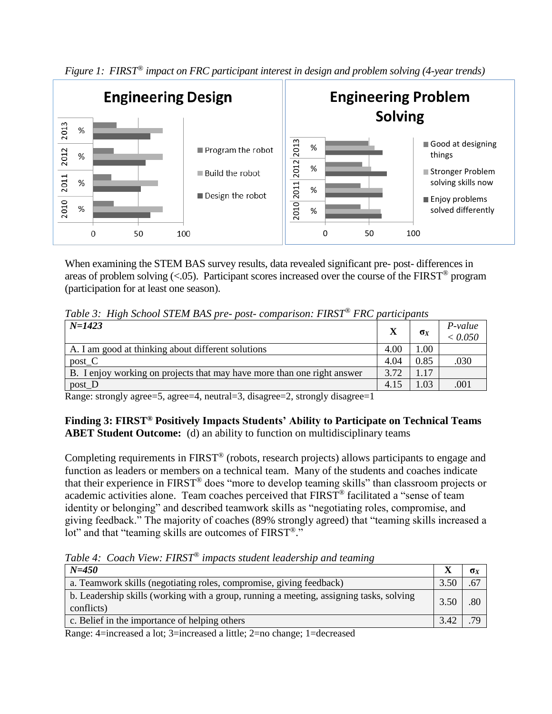



When examining the STEM BAS survey results, data revealed significant pre- post- differences in areas of problem solving  $\langle 0.05 \rangle$ . Participant scores increased over the course of the FIRST<sup>®</sup> program (participation for at least one season).

| Table 3: High School STEM BAS pre- post- comparison: FIRST® FRC participants |  |  |
|------------------------------------------------------------------------------|--|--|
|------------------------------------------------------------------------------|--|--|

| $N = 1423$                                                              | X    | $\sigma_X$ | P-value<br>< 0.050 |
|-------------------------------------------------------------------------|------|------------|--------------------|
| A. I am good at thinking about different solutions                      | 4.00 | .00        |                    |
| $post_C$                                                                | 4.04 | 0.85       | .030               |
| B. I enjoy working on projects that may have more than one right answer | 3.72 | .17        |                    |
| $post_D$                                                                | 4.15 | .03        | .001               |

Range: strongly agree=5, agree=4, neutral=3, disagree=2, strongly disagree=1

### **Finding 3: FIRST® Positively Impacts Students' Ability to Participate on Technical Teams ABET Student Outcome:** (d) an ability to function on multidisciplinary teams

Completing requirements in FIRST® (robots, research projects) allows participants to engage and function as leaders or members on a technical team. Many of the students and coaches indicate that their experience in FIRST® does "more to develop teaming skills" than classroom projects or academic activities alone. Team coaches perceived that FIRST® facilitated a "sense of team identity or belonging" and described teamwork skills as "negotiating roles, compromise, and giving feedback." The majority of coaches (89% strongly agreed) that "teaming skills increased a lot" and that "teaming skills are outcomes of FIRST<sup>®</sup>."

*Table 4: Coach View: FIRST® impacts student leadership and teaming*

| $N = 450$                                                                                             |      | σx  |
|-------------------------------------------------------------------------------------------------------|------|-----|
| a. Teamwork skills (negotiating roles, compromise, giving feedback)                                   | 3.50 | .67 |
| b. Leadership skills (working with a group, running a meeting, assigning tasks, solving<br>conflicts) | 3.50 | .80 |
| c. Belief in the importance of helping others                                                         | 3.42 | 7C  |

Range: 4=increased a lot; 3=increased a little; 2=no change; 1=decreased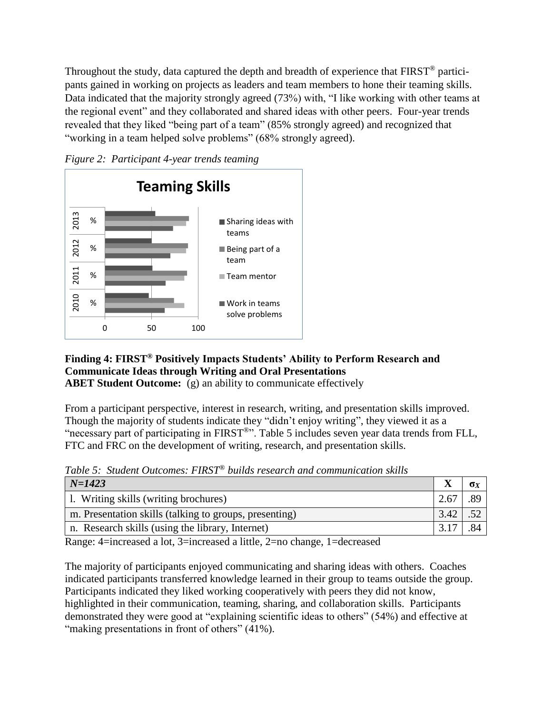Throughout the study, data captured the depth and breadth of experience that FIRST<sup>®</sup> participants gained in working on projects as leaders and team members to hone their teaming skills. Data indicated that the majority strongly agreed (73%) with, "I like working with other teams at the regional event" and they collaborated and shared ideas with other peers. Four-year trends revealed that they liked "being part of a team" (85% strongly agreed) and recognized that "working in a team helped solve problems" (68% strongly agreed).





## **Finding 4: FIRST® Positively Impacts Students' Ability to Perform Research and Communicate Ideas through Writing and Oral Presentations**

**ABET Student Outcome:** (g) an ability to communicate effectively

From a participant perspective, interest in research, writing, and presentation skills improved. Though the majority of students indicate they "didn't enjoy writing", they viewed it as a "necessary part of participating in FIRST®". Table 5 includes seven year data trends from FLL, FTC and FRC on the development of writing, research, and presentation skills.

 $N=1423$  **X**  $\sigma_X$ 1. Writing skills (writing brochures)  $\left| \begin{array}{c} 2.67 \end{array} \right|$  .89 m. Presentation skills (talking to groups, presenting)  $\begin{bmatrix} 3.42 \end{bmatrix}$  .52 n. Research skills (using the library, Internet) 3.17 .84

*Table 5: Student Outcomes: FIRST® builds research and communication skills*

Range: 4=increased a lot, 3=increased a little, 2=no change, 1=decreased

The majority of participants enjoyed communicating and sharing ideas with others. Coaches indicated participants transferred knowledge learned in their group to teams outside the group. Participants indicated they liked working cooperatively with peers they did not know, highlighted in their communication, teaming, sharing, and collaboration skills. Participants demonstrated they were good at "explaining scientific ideas to others" (54%) and effective at "making presentations in front of others" (41%).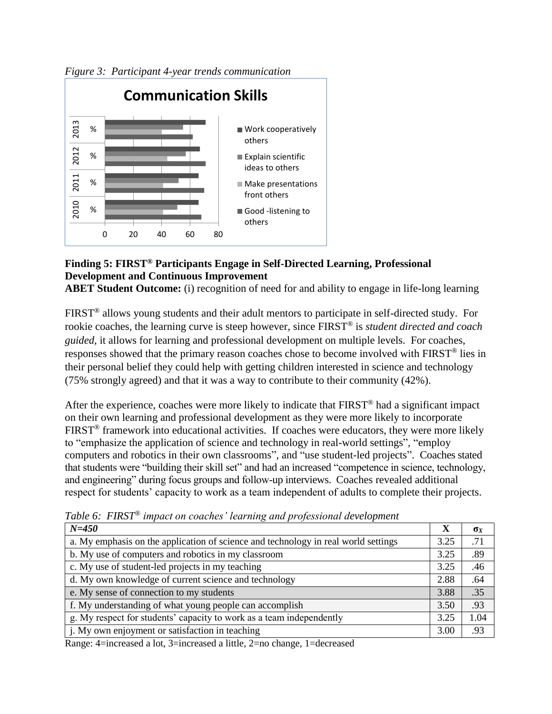

*Figure 3: Participant 4-year trends communication*

## **Finding 5: FIRST® Participants Engage in Self-Directed Learning, Professional Development and Continuous Improvement**

**ABET Student Outcome:** (i) recognition of need for and ability to engage in life-long learning

FIRST® allows young students and their adult mentors to participate in self-directed study. For rookie coaches, the learning curve is steep however, since FIRST® is *student directed and coach guided*, it allows for learning and professional development on multiple levels. For coaches, responses showed that the primary reason coaches chose to become involved with FIRST® lies in their personal belief they could help with getting children interested in science and technology (75% strongly agreed) and that it was a way to contribute to their community (42%).

After the experience, coaches were more likely to indicate that FIRST® had a significant impact on their own learning and professional development as they were more likely to incorporate FIRST<sup>®</sup> framework into educational activities. If coaches were educators, they were more likely to "emphasize the application of science and technology in real-world settings", "employ computers and robotics in their own classrooms", and "use student-led projects". Coaches stated that students were "building their skill set" and had an increased "competence in science, technology, and engineering" during focus groups and follow-up interviews. Coaches revealed additional respect for students' capacity to work as a team independent of adults to complete their projects.

| $N = 450$                                                                          | X    | $\sigma_X$ |
|------------------------------------------------------------------------------------|------|------------|
| a. My emphasis on the application of science and technology in real world settings | 3.25 | .71        |
| b. My use of computers and robotics in my classroom                                | 3.25 | .89        |
| c. My use of student-led projects in my teaching                                   | 3.25 | .46        |
| d. My own knowledge of current science and technology                              | 2.88 | .64        |
| e. My sense of connection to my students                                           | 3.88 | .35        |
| f. My understanding of what young people can accomplish                            | 3.50 | .93        |
| g. My respect for students' capacity to work as a team independently               | 3.25 | 1.04       |
| j. My own enjoyment or satisfaction in teaching                                    | 3.00 | .93        |

*Table 6: FIRST® impact on coaches' learning and professional development*

Range: 4=increased a lot, 3=increased a little, 2=no change, 1=decreased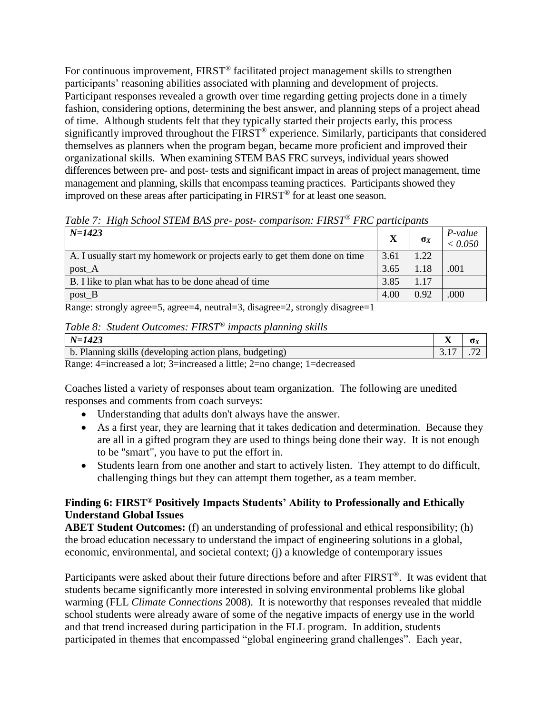For continuous improvement, FIRST<sup>®</sup> facilitated project management skills to strengthen participants' reasoning abilities associated with planning and development of projects. Participant responses revealed a growth over time regarding getting projects done in a timely fashion, considering options, determining the best answer, and planning steps of a project ahead of time. Although students felt that they typically started their projects early, this process significantly improved throughout the FIRST<sup>®</sup> experience. Similarly, participants that considered themselves as planners when the program began, became more proficient and improved their organizational skills. When examining STEM BAS FRC surveys, individual years showed differences between pre- and post- tests and significant impact in areas of project management, time management and planning, skills that encompass teaming practices. Participants showed they improved on these areas after participating in  $\overline{FIRST^{\circledast}}$  for at least one season.

| $N = 1423$                                                                |      | $\sigma_X$ | P-value<br>< 0.050 |
|---------------------------------------------------------------------------|------|------------|--------------------|
| A. I usually start my homework or projects early to get them done on time | 3.61 | 1.22       |                    |
| $post_A$                                                                  | 3.65 | 1.18       | .001               |
| B. I like to plan what has to be done ahead of time                       | 3.85 | 1.17       |                    |
| $post_B$                                                                  | 4.00 | 0.92       | .000               |

*Table 7: High School STEM BAS pre- post- comparison: FIRST® FRC participants*

Range: strongly agree=5, agree=4, neutral=3, disagree=2, strongly disagree=1

# *Table 8: Student Outcomes: FIRST® impacts planning skills*

| $N-$<br>74.                                                                                     | $- -$<br>- - | $\mathbf{v}_{\mathbf{\Lambda}}$ |
|-------------------------------------------------------------------------------------------------|--------------|---------------------------------|
| Planning $\frac{1}{2}$<br>$\mathbf{b}$ .<br>action plans,<br>budgeting<br>SK1HS<br>(developing- | <u>.</u>     | $\overline{\phantom{a}}$        |
| $\sim$<br>. .                                                                                   |              |                                 |

Range: 4=increased a lot; 3=increased a little; 2=no change; 1=decreased

Coaches listed a variety of responses about team organization. The following are unedited responses and comments from coach surveys:

- Understanding that adults don't always have the answer.
- As a first year, they are learning that it takes dedication and determination. Because they are all in a gifted program they are used to things being done their way. It is not enough to be "smart", you have to put the effort in.
- Students learn from one another and start to actively listen. They attempt to do difficult, challenging things but they can attempt them together, as a team member.

### **Finding 6: FIRST® Positively Impacts Students' Ability to Professionally and Ethically Understand Global Issues**

**ABET Student Outcomes:** (f) an understanding of professional and ethical responsibility; (h) the broad education necessary to understand the impact of engineering solutions in a global, economic, environmental, and societal context; (j) a knowledge of contemporary issues

Participants were asked about their future directions before and after FIRST®. It was evident that students became significantly more interested in solving environmental problems like global warming (FLL *Climate Connections* 2008). It is noteworthy that responses revealed that middle school students were already aware of some of the negative impacts of energy use in the world and that trend increased during participation in the FLL program. In addition, students participated in themes that encompassed "global engineering grand challenges". Each year,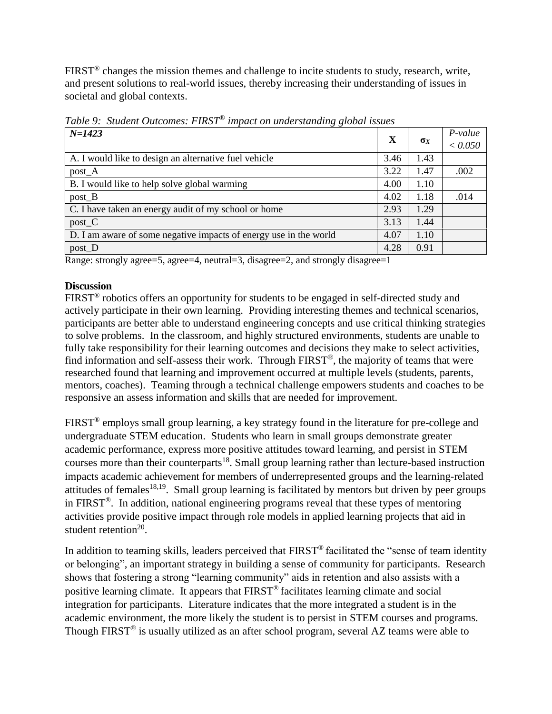FIRST<sup>®</sup> changes the mission themes and challenge to incite students to study, research, write, and present solutions to real-world issues, thereby increasing their understanding of issues in societal and global contexts.

| Tuble 9. Shudeni Outcomes. I INST<br><i>mpaci on undersidiaing global issues</i> |      |            |                    |  |
|----------------------------------------------------------------------------------|------|------------|--------------------|--|
| $N = 1423$                                                                       | X    | $\sigma_X$ | P-value<br>< 0.050 |  |
| A. I would like to design an alternative fuel vehicle                            | 3.46 | 1.43       |                    |  |
| post_A                                                                           | 3.22 | 1.47       | .002               |  |
| B. I would like to help solve global warming                                     | 4.00 | 1.10       |                    |  |
| $post_B$                                                                         | 4.02 | 1.18       | .014               |  |
| C. I have taken an energy audit of my school or home                             | 2.93 | 1.29       |                    |  |
| $post_C$                                                                         | 3.13 | 1.44       |                    |  |
| D. I am aware of some negative impacts of energy use in the world                | 4.07 | 1.10       |                    |  |
| post_D                                                                           | 4.28 | 0.91       |                    |  |

*Table 9: Student Outcomes: FIRST® impact on understanding global issues*

Range: strongly agree=5, agree=4, neutral=3, disagree=2, and strongly disagree=1

### **Discussion**

FIRST<sup>®</sup> robotics offers an opportunity for students to be engaged in self-directed study and actively participate in their own learning. Providing interesting themes and technical scenarios, participants are better able to understand engineering concepts and use critical thinking strategies to solve problems. In the classroom, and highly structured environments, students are unable to fully take responsibility for their learning outcomes and decisions they make to select activities, find information and self-assess their work. Through FIRST®, the majority of teams that were researched found that learning and improvement occurred at multiple levels (students, parents, mentors, coaches). Teaming through a technical challenge empowers students and coaches to be responsive an assess information and skills that are needed for improvement.

FIRST® employs small group learning, a key strategy found in the literature for pre-college and undergraduate STEM education. Students who learn in small groups demonstrate greater academic performance, express more positive attitudes toward learning, and persist in STEM courses more than their counterparts<sup>18</sup>. Small group learning rather than lecture-based instruction impacts academic achievement for members of underrepresented groups and the learning-related attitudes of females<sup>18,19</sup>. Small group learning is facilitated by mentors but driven by peer groups in FIRST®. In addition, national engineering programs reveal that these types of mentoring activities provide positive impact through role models in applied learning projects that aid in student retention $20$ .

In addition to teaming skills, leaders perceived that  $FIRST^{\circledast}$  facilitated the "sense of team identity or belonging", an important strategy in building a sense of community for participants. Research shows that fostering a strong "learning community" aids in retention and also assists with a positive learning climate. It appears that FIRST® facilitates learning climate and social integration for participants. Literature indicates that the more integrated a student is in the academic environment, the more likely the student is to persist in STEM courses and programs. Though FIRST<sup>®</sup> is usually utilized as an after school program, several AZ teams were able to